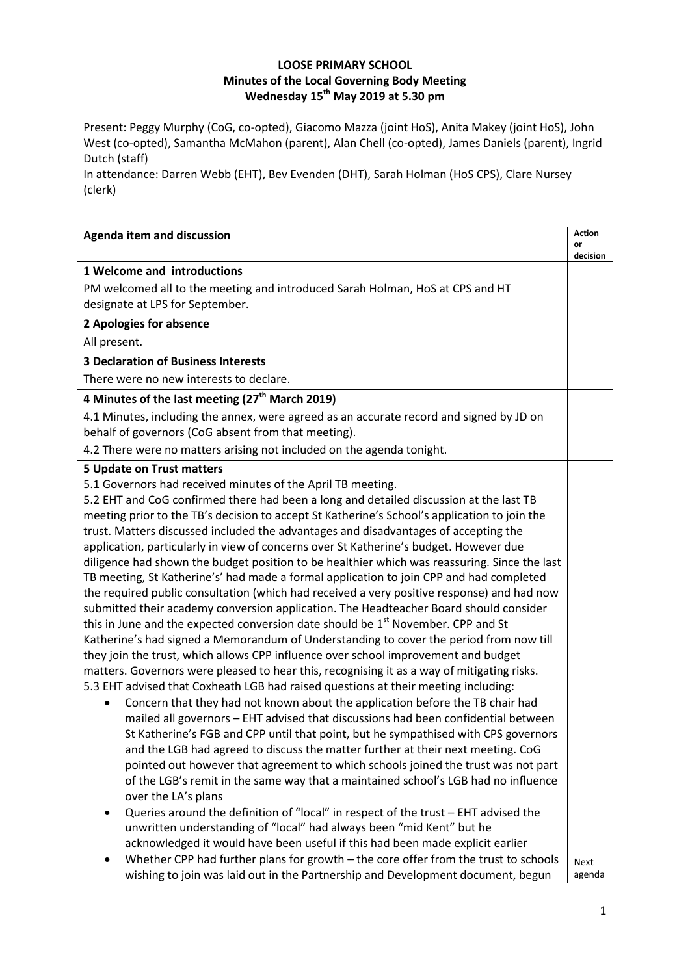## **LOOSE PRIMARY SCHOOL Minutes of the Local Governing Body Meeting Wednesday 15th May 2019 at 5.30 pm**

Present: Peggy Murphy (CoG, co-opted), Giacomo Mazza (joint HoS), Anita Makey (joint HoS), John West (co-opted), Samantha McMahon (parent), Alan Chell (co-opted), James Daniels (parent), Ingrid Dutch (staff)

In attendance: Darren Webb (EHT), Bev Evenden (DHT), Sarah Holman (HoS CPS), Clare Nursey (clerk)

| <b>Agenda item and discussion</b>                                                                                                              | <b>Action</b><br>or<br>decision |
|------------------------------------------------------------------------------------------------------------------------------------------------|---------------------------------|
| 1 Welcome and introductions                                                                                                                    |                                 |
| PM welcomed all to the meeting and introduced Sarah Holman, HoS at CPS and HT                                                                  |                                 |
| designate at LPS for September.                                                                                                                |                                 |
| 2 Apologies for absence                                                                                                                        |                                 |
| All present.                                                                                                                                   |                                 |
| <b>3 Declaration of Business Interests</b>                                                                                                     |                                 |
| There were no new interests to declare.                                                                                                        |                                 |
| 4 Minutes of the last meeting (27 <sup>th</sup> March 2019)                                                                                    |                                 |
| 4.1 Minutes, including the annex, were agreed as an accurate record and signed by JD on<br>behalf of governors (CoG absent from that meeting). |                                 |
| 4.2 There were no matters arising not included on the agenda tonight.                                                                          |                                 |
| 5 Update on Trust matters                                                                                                                      |                                 |
| 5.1 Governors had received minutes of the April TB meeting.                                                                                    |                                 |
| 5.2 EHT and CoG confirmed there had been a long and detailed discussion at the last TB                                                         |                                 |
| meeting prior to the TB's decision to accept St Katherine's School's application to join the                                                   |                                 |
| trust. Matters discussed included the advantages and disadvantages of accepting the                                                            |                                 |
| application, particularly in view of concerns over St Katherine's budget. However due                                                          |                                 |
| diligence had shown the budget position to be healthier which was reassuring. Since the last                                                   |                                 |
| TB meeting, St Katherine's' had made a formal application to join CPP and had completed                                                        |                                 |
| the required public consultation (which had received a very positive response) and had now                                                     |                                 |
| submitted their academy conversion application. The Headteacher Board should consider                                                          |                                 |
| this in June and the expected conversion date should be 1 <sup>st</sup> November. CPP and St                                                   |                                 |
| Katherine's had signed a Memorandum of Understanding to cover the period from now till                                                         |                                 |
| they join the trust, which allows CPP influence over school improvement and budget                                                             |                                 |
| matters. Governors were pleased to hear this, recognising it as a way of mitigating risks.                                                     |                                 |
| 5.3 EHT advised that Coxheath LGB had raised questions at their meeting including:                                                             |                                 |
| Concern that they had not known about the application before the TB chair had                                                                  |                                 |
| mailed all governors - EHT advised that discussions had been confidential between                                                              |                                 |
| St Katherine's FGB and CPP until that point, but he sympathised with CPS governors                                                             |                                 |
| and the LGB had agreed to discuss the matter further at their next meeting. CoG                                                                |                                 |
| pointed out however that agreement to which schools joined the trust was not part                                                              |                                 |
| of the LGB's remit in the same way that a maintained school's LGB had no influence<br>over the LA's plans                                      |                                 |
| Queries around the definition of "local" in respect of the trust - EHT advised the<br>$\bullet$                                                |                                 |
| unwritten understanding of "local" had always been "mid Kent" but he                                                                           |                                 |
| acknowledged it would have been useful if this had been made explicit earlier                                                                  |                                 |
| Whether CPP had further plans for growth - the core offer from the trust to schools                                                            | <b>Next</b>                     |
| wishing to join was laid out in the Partnership and Development document, begun                                                                | agenda                          |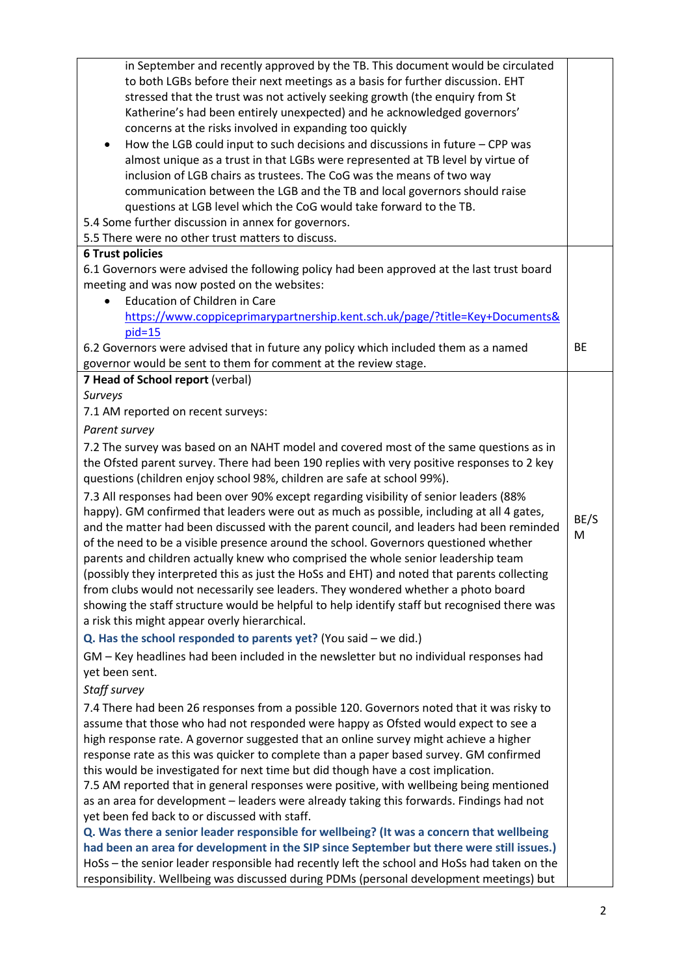| in September and recently approved by the TB. This document would be circulated<br>to both LGBs before their next meetings as a basis for further discussion. EHT<br>stressed that the trust was not actively seeking growth (the enquiry from St<br>Katherine's had been entirely unexpected) and he acknowledged governors' |           |
|-------------------------------------------------------------------------------------------------------------------------------------------------------------------------------------------------------------------------------------------------------------------------------------------------------------------------------|-----------|
| concerns at the risks involved in expanding too quickly                                                                                                                                                                                                                                                                       |           |
| How the LGB could input to such decisions and discussions in future $-$ CPP was<br>$\bullet$                                                                                                                                                                                                                                  |           |
| almost unique as a trust in that LGBs were represented at TB level by virtue of                                                                                                                                                                                                                                               |           |
| inclusion of LGB chairs as trustees. The CoG was the means of two way                                                                                                                                                                                                                                                         |           |
| communication between the LGB and the TB and local governors should raise<br>questions at LGB level which the CoG would take forward to the TB.                                                                                                                                                                               |           |
| 5.4 Some further discussion in annex for governors.                                                                                                                                                                                                                                                                           |           |
| 5.5 There were no other trust matters to discuss.                                                                                                                                                                                                                                                                             |           |
| <b>6 Trust policies</b>                                                                                                                                                                                                                                                                                                       |           |
| 6.1 Governors were advised the following policy had been approved at the last trust board                                                                                                                                                                                                                                     |           |
| meeting and was now posted on the websites:                                                                                                                                                                                                                                                                                   |           |
| <b>Education of Children in Care</b>                                                                                                                                                                                                                                                                                          |           |
| https://www.coppiceprimarypartnership.kent.sch.uk/page/?title=Key+Documents&                                                                                                                                                                                                                                                  |           |
| $pid=15$                                                                                                                                                                                                                                                                                                                      |           |
| 6.2 Governors were advised that in future any policy which included them as a named                                                                                                                                                                                                                                           | <b>BE</b> |
| governor would be sent to them for comment at the review stage.                                                                                                                                                                                                                                                               |           |
| 7 Head of School report (verbal)                                                                                                                                                                                                                                                                                              |           |
| Surveys                                                                                                                                                                                                                                                                                                                       |           |
| 7.1 AM reported on recent surveys:                                                                                                                                                                                                                                                                                            |           |
| Parent survey                                                                                                                                                                                                                                                                                                                 |           |
| 7.2 The survey was based on an NAHT model and covered most of the same questions as in                                                                                                                                                                                                                                        |           |
| the Ofsted parent survey. There had been 190 replies with very positive responses to 2 key<br>questions (children enjoy school 98%, children are safe at school 99%).                                                                                                                                                         |           |
| 7.3 All responses had been over 90% except regarding visibility of senior leaders (88%                                                                                                                                                                                                                                        |           |
| happy). GM confirmed that leaders were out as much as possible, including at all 4 gates,                                                                                                                                                                                                                                     |           |
| and the matter had been discussed with the parent council, and leaders had been reminded                                                                                                                                                                                                                                      | BE/S      |
| of the need to be a visible presence around the school. Governors questioned whether                                                                                                                                                                                                                                          | M         |
| parents and children actually knew who comprised the whole senior leadership team                                                                                                                                                                                                                                             |           |
| (possibly they interpreted this as just the HoSs and EHT) and noted that parents collecting                                                                                                                                                                                                                                   |           |
| from clubs would not necessarily see leaders. They wondered whether a photo board                                                                                                                                                                                                                                             |           |
| showing the staff structure would be helpful to help identify staff but recognised there was                                                                                                                                                                                                                                  |           |
| a risk this might appear overly hierarchical.                                                                                                                                                                                                                                                                                 |           |
| Q. Has the school responded to parents yet? (You said - we did.)                                                                                                                                                                                                                                                              |           |
| GM - Key headlines had been included in the newsletter but no individual responses had                                                                                                                                                                                                                                        |           |
| yet been sent.                                                                                                                                                                                                                                                                                                                |           |
| Staff survey                                                                                                                                                                                                                                                                                                                  |           |
| 7.4 There had been 26 responses from a possible 120. Governors noted that it was risky to                                                                                                                                                                                                                                     |           |
| assume that those who had not responded were happy as Ofsted would expect to see a                                                                                                                                                                                                                                            |           |
| high response rate. A governor suggested that an online survey might achieve a higher                                                                                                                                                                                                                                         |           |
| response rate as this was quicker to complete than a paper based survey. GM confirmed                                                                                                                                                                                                                                         |           |
| this would be investigated for next time but did though have a cost implication.                                                                                                                                                                                                                                              |           |
| 7.5 AM reported that in general responses were positive, with wellbeing being mentioned                                                                                                                                                                                                                                       |           |
| as an area for development - leaders were already taking this forwards. Findings had not                                                                                                                                                                                                                                      |           |
| yet been fed back to or discussed with staff.                                                                                                                                                                                                                                                                                 |           |
| Q. Was there a senior leader responsible for wellbeing? (It was a concern that wellbeing                                                                                                                                                                                                                                      |           |
| had been an area for development in the SIP since September but there were still issues.)                                                                                                                                                                                                                                     |           |
| HoSs - the senior leader responsible had recently left the school and HoSs had taken on the                                                                                                                                                                                                                                   |           |
| responsibility. Wellbeing was discussed during PDMs (personal development meetings) but                                                                                                                                                                                                                                       |           |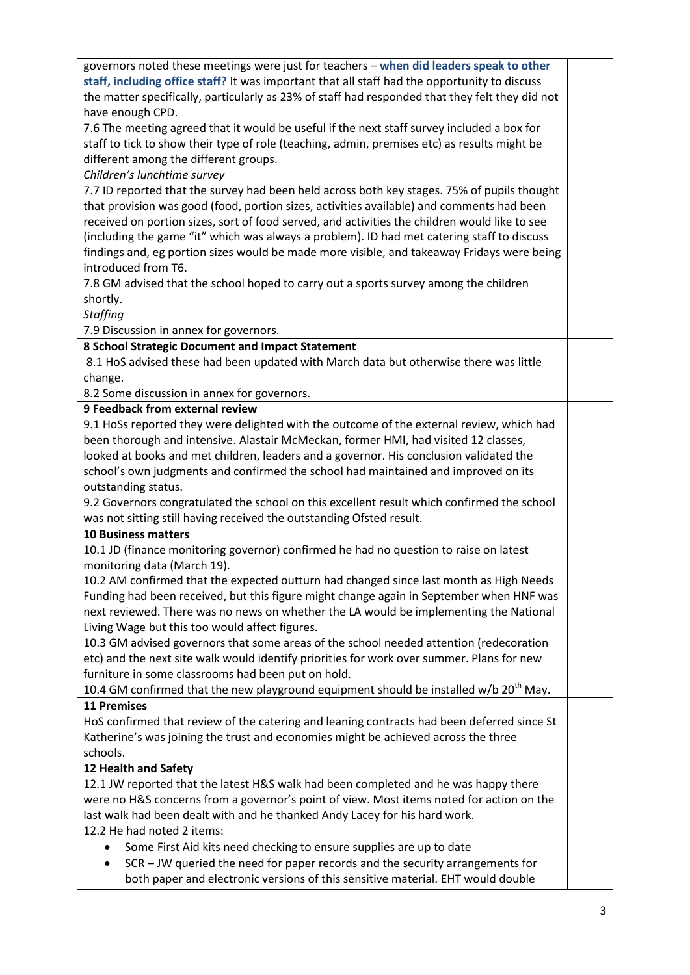| governors noted these meetings were just for teachers - when did leaders speak to other                                                                                           |  |
|-----------------------------------------------------------------------------------------------------------------------------------------------------------------------------------|--|
| staff, including office staff? It was important that all staff had the opportunity to discuss                                                                                     |  |
| the matter specifically, particularly as 23% of staff had responded that they felt they did not                                                                                   |  |
| have enough CPD.                                                                                                                                                                  |  |
| 7.6 The meeting agreed that it would be useful if the next staff survey included a box for                                                                                        |  |
| staff to tick to show their type of role (teaching, admin, premises etc) as results might be                                                                                      |  |
| different among the different groups.                                                                                                                                             |  |
| Children's lunchtime survey                                                                                                                                                       |  |
| 7.7 ID reported that the survey had been held across both key stages. 75% of pupils thought                                                                                       |  |
| that provision was good (food, portion sizes, activities available) and comments had been                                                                                         |  |
| received on portion sizes, sort of food served, and activities the children would like to see                                                                                     |  |
| (including the game "it" which was always a problem). ID had met catering staff to discuss                                                                                        |  |
| findings and, eg portion sizes would be made more visible, and takeaway Fridays were being                                                                                        |  |
| introduced from T6.                                                                                                                                                               |  |
| 7.8 GM advised that the school hoped to carry out a sports survey among the children                                                                                              |  |
| shortly.                                                                                                                                                                          |  |
| <b>Staffing</b>                                                                                                                                                                   |  |
| 7.9 Discussion in annex for governors.                                                                                                                                            |  |
| 8 School Strategic Document and Impact Statement                                                                                                                                  |  |
| 8.1 HoS advised these had been updated with March data but otherwise there was little                                                                                             |  |
| change.                                                                                                                                                                           |  |
| 8.2 Some discussion in annex for governors.                                                                                                                                       |  |
| 9 Feedback from external review                                                                                                                                                   |  |
| 9.1 HoSs reported they were delighted with the outcome of the external review, which had                                                                                          |  |
| been thorough and intensive. Alastair McMeckan, former HMI, had visited 12 classes,                                                                                               |  |
| looked at books and met children, leaders and a governor. His conclusion validated the                                                                                            |  |
| school's own judgments and confirmed the school had maintained and improved on its                                                                                                |  |
| outstanding status.                                                                                                                                                               |  |
| 9.2 Governors congratulated the school on this excellent result which confirmed the school                                                                                        |  |
| was not sitting still having received the outstanding Ofsted result.                                                                                                              |  |
| <b>10 Business matters</b>                                                                                                                                                        |  |
| 10.1 JD (finance monitoring governor) confirmed he had no question to raise on latest                                                                                             |  |
| monitoring data (March 19).                                                                                                                                                       |  |
| 10.2 AM confirmed that the expected outturn had changed since last month as High Needs<br>Funding had been received, but this figure might change again in September when HNF was |  |
| next reviewed. There was no news on whether the LA would be implementing the National                                                                                             |  |
| Living Wage but this too would affect figures.                                                                                                                                    |  |
| 10.3 GM advised governors that some areas of the school needed attention (redecoration                                                                                            |  |
| etc) and the next site walk would identify priorities for work over summer. Plans for new                                                                                         |  |
| furniture in some classrooms had been put on hold.                                                                                                                                |  |
| 10.4 GM confirmed that the new playground equipment should be installed $w/b 20^{th}$ May.                                                                                        |  |
| <b>11 Premises</b>                                                                                                                                                                |  |
| HoS confirmed that review of the catering and leaning contracts had been deferred since St                                                                                        |  |
| Katherine's was joining the trust and economies might be achieved across the three                                                                                                |  |
| schools.                                                                                                                                                                          |  |
| 12 Health and Safety                                                                                                                                                              |  |
| 12.1 JW reported that the latest H&S walk had been completed and he was happy there                                                                                               |  |
| were no H&S concerns from a governor's point of view. Most items noted for action on the                                                                                          |  |
| last walk had been dealt with and he thanked Andy Lacey for his hard work.                                                                                                        |  |
| 12.2 He had noted 2 items:                                                                                                                                                        |  |
| Some First Aid kits need checking to ensure supplies are up to date                                                                                                               |  |
| SCR - JW queried the need for paper records and the security arrangements for<br>٠                                                                                                |  |
| both paper and electronic versions of this sensitive material. EHT would double                                                                                                   |  |